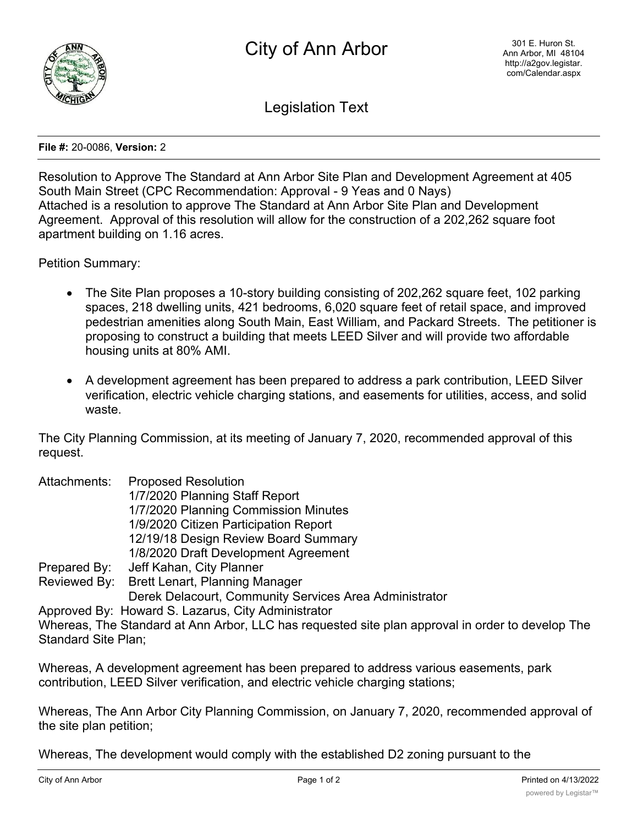

Legislation Text

**File #:** 20-0086, **Version:** 2

Resolution to Approve The Standard at Ann Arbor Site Plan and Development Agreement at 405 South Main Street (CPC Recommendation: Approval - 9 Yeas and 0 Nays) Attached is a resolution to approve The Standard at Ann Arbor Site Plan and Development Agreement. Approval of this resolution will allow for the construction of a 202,262 square foot apartment building on 1.16 acres.

Petition Summary:

- The Site Plan proposes a 10-story building consisting of 202,262 square feet, 102 parking spaces, 218 dwelling units, 421 bedrooms, 6,020 square feet of retail space, and improved pedestrian amenities along South Main, East William, and Packard Streets. The petitioner is proposing to construct a building that meets LEED Silver and will provide two affordable housing units at 80% AMI.
- · A development agreement has been prepared to address a park contribution, LEED Silver verification, electric vehicle charging stations, and easements for utilities, access, and solid waste.

The City Planning Commission, at its meeting of January 7, 2020, recommended approval of this request.

| Attachments: | <b>Proposed Resolution</b>                             |
|--------------|--------------------------------------------------------|
|              | 1/7/2020 Planning Staff Report                         |
|              | 1/7/2020 Planning Commission Minutes                   |
|              | 1/9/2020 Citizen Participation Report                  |
|              | 12/19/18 Design Review Board Summary                   |
|              | 1/8/2020 Draft Development Agreement                   |
| Prepared By: | Jeff Kahan, City Planner                               |
|              | Reviewed By: Brett Lenart, Planning Manager            |
|              | Derek Delacourt, Community Services Area Administrator |
|              | Approved By: Howard S. Lazarus, City Administrator     |

Whereas, The Standard at Ann Arbor, LLC has requested site plan approval in order to develop The Standard Site Plan;

Whereas, A development agreement has been prepared to address various easements, park contribution, LEED Silver verification, and electric vehicle charging stations;

Whereas, The Ann Arbor City Planning Commission, on January 7, 2020, recommended approval of the site plan petition;

Whereas, The development would comply with the established D2 zoning pursuant to the